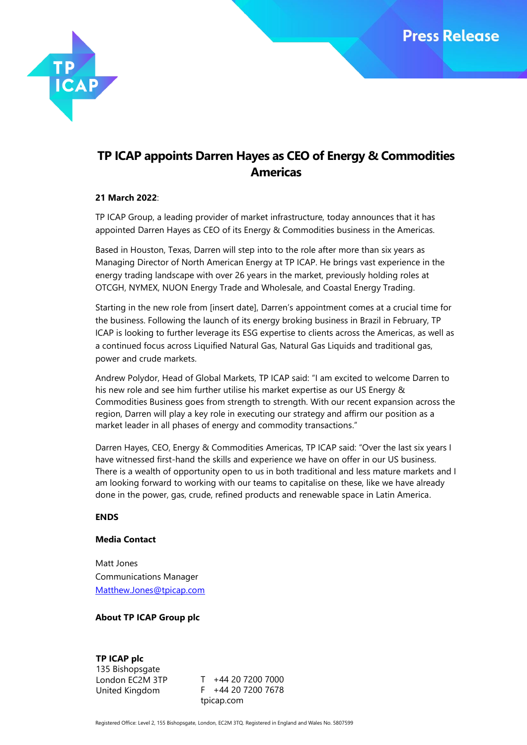

# **TP ICAP appoints Darren Hayes as CEO of Energy & Commodities Americas**

### **21 March 2022**:

TP ICAP Group, a leading provider of market infrastructure, today announces that it has appointed Darren Hayes as CEO of its Energy & Commodities business in the Americas.

Based in Houston, Texas, Darren will step into to the role after more than six years as Managing Director of North American Energy at TP ICAP. He brings vast experience in the energy trading landscape with over 26 years in the market, previously holding roles at OTCGH, NYMEX, NUON Energy Trade and Wholesale, and Coastal Energy Trading.

Starting in the new role from [insert date], Darren's appointment comes at a crucial time for the business. Following the launch of its energy broking business in Brazil in February, TP ICAP is looking to further leverage its ESG expertise to clients across the Americas, as well as a continued focus across Liquified Natural Gas, Natural Gas Liquids and traditional gas, power and crude markets.

Andrew Polydor, Head of Global Markets, TP ICAP said: "I am excited to welcome Darren to his new role and see him further utilise his market expertise as our US Energy & Commodities Business goes from strength to strength. With our recent expansion across the region, Darren will play a key role in executing our strategy and affirm our position as a market leader in all phases of energy and commodity transactions."

Darren Hayes, CEO, Energy & Commodities Americas, TP ICAP said: "Over the last six years I have witnessed first-hand the skills and experience we have on offer in our US business. There is a wealth of opportunity open to us in both traditional and less mature markets and I am looking forward to working with our teams to capitalise on these, like we have already done in the power, gas, crude, refined products and renewable space in Latin America.

### **ENDS**

### **Media Contact**

Matt Jones Communications Manager [Matthew.Jones@tpicap.com](mailto:Matthew.Jones@tpicap.com)

## **About TP ICAP Group plc**

**TP ICAP plc** 135 Bishopsgate London EC2M 3TP United Kingdom

T +44 20 7200 7000 F +44 20 7200 7678 tpicap.com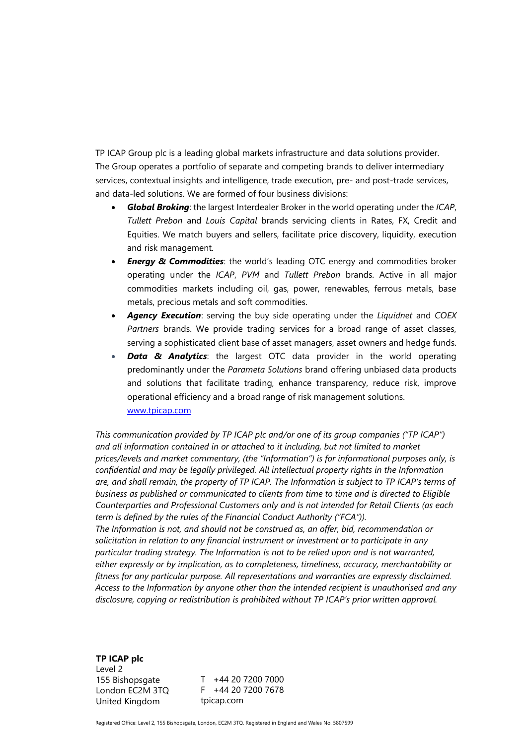TP ICAP Group plc is a leading global markets infrastructure and data solutions provider. The Group operates a portfolio of separate and competing brands to deliver intermediary services, contextual insights and intelligence, trade execution, pre- and post-trade services, and data-led solutions. We are formed of four business divisions:

- *Global Broking*: the largest Interdealer Broker in the world operating under the *ICAP*, *Tullett Prebon* and *Louis Capital* brands servicing clients in Rates, FX, Credit and Equities. We match buyers and sellers, facilitate price discovery, liquidity, execution and risk management*.*
- *Energy & Commodities: the world's leading OTC energy and commodities broker* operating under the *ICAP*, *PVM* and *Tullett Prebon* brands. Active in all major commodities markets including oil, gas, power, renewables, ferrous metals, base metals, precious metals and soft commodities.
- *Agency Execution*: serving the buy side operating under the *Liquidnet* and *COEX Partners* brands. We provide trading services for a broad range of asset classes, serving a sophisticated client base of asset managers, asset owners and hedge funds.
- **Data & Analytics**: the largest OTC data provider in the world operating predominantly under the *Parameta Solutions* brand offering unbiased data products and solutions that facilitate trading, enhance transparency, reduce risk, improve operational efficiency and a broad range of risk management solutions. [www.tpicap.com](http://www.tpicap.com/)

*This communication provided by TP ICAP plc and/or one of its group companies ("TP ICAP") and all information contained in or attached to it including, but not limited to market prices/levels and market commentary, (the "Information") is for informational purposes only, is confidential and may be legally privileged. All intellectual property rights in the Information are, and shall remain, the property of TP ICAP. The Information is subject to TP ICAP's terms of business as published or communicated to clients from time to time and is directed to Eligible Counterparties and Professional Customers only and is not intended for Retail Clients (as each term is defined by the rules of the Financial Conduct Authority ("FCA")). The Information is not, and should not be construed as, an offer, bid, recommendation or solicitation in relation to any financial instrument or investment or to participate in any* 

*particular trading strategy. The Information is not to be relied upon and is not warranted, either expressly or by implication, as to completeness, timeliness, accuracy, merchantability or fitness for any particular purpose. All representations and warranties are expressly disclaimed. Access to the Information by anyone other than the intended recipient is unauthorised and any disclosure, copying or redistribution is prohibited without TP ICAP's prior written approval.*

**TP ICAP plc** Level 2 155 Bishopsgate London EC2M 3TQ United Kingdom

T +44 20 7200 7000 F +44 20 7200 7678 tpicap.com